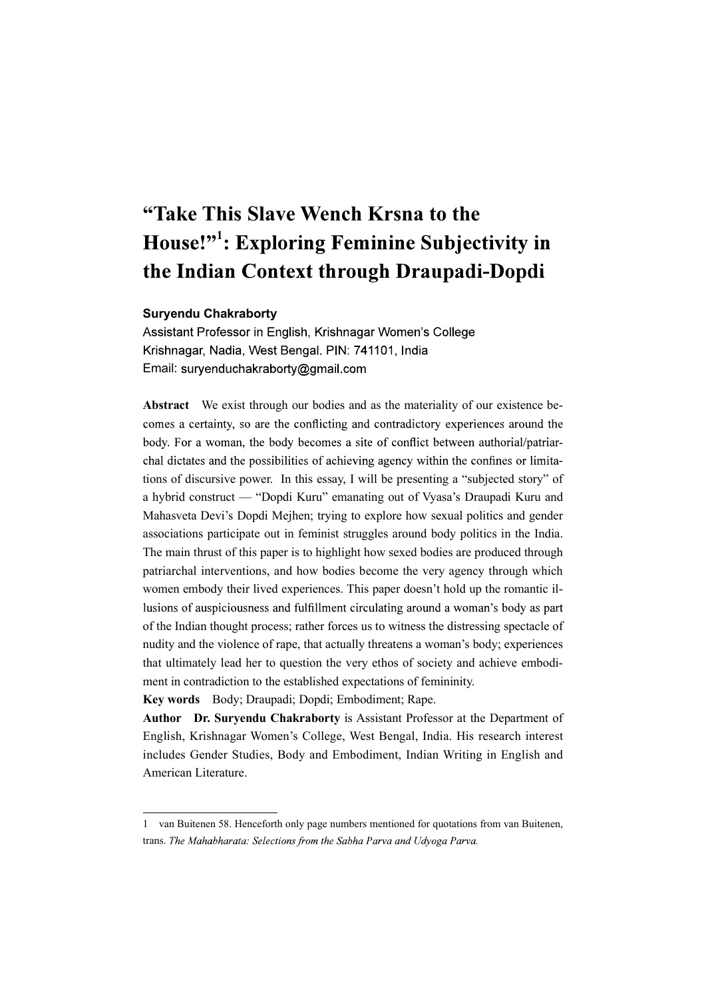# "Take This Slave Wench Krsna to the House!"<sup>1</sup>: Exploring Feminine Subjectivity in the Indian Context through Draupadi-Dopdi

#### Suryendu Chakraborty

Assistant Professor in English, Krishnagar Women's College Krishnagar, Nadia, West Bengal, PIN: 741101, India Email: suryenduchakraborty@gmail.com

Abstract We exist through our bodies and as the materiality of our existence be comes a certainty, so are the conflicting and contradictory experiences around the body. For a woman, the body becomes a site of conflict between authorial/patriarchal dictates and the possibilities of achieving agency within the confines or limitations of discursive power. In this essay, I will be presenting a "subjected story" of a hybrid construct — "Dopdi Kuru" emanating out of Vyasa's Draupadi Kuru and Mahasveta Devi's Dopdi Mejhen; trying to explore how sexual politics and gender associations participate out in feminist struggles around body politics in the India. The main thrust of this paper is to highlight how sexed bodies are produced through patriarchal interventions, and how bodies become the very agency through which women embody their lived experiences. This paper doesn't hold up the romantic illusions of auspiciousness and fulfillment circulating around a woman's body as part of the Indian thought process; rather forces us to witness the distressing spectacle of nudity and the violence of rape, that actually threatens a woman's body; experiences that ultimately lead her to question the very ethos of society and achieve embodiment in contradiction to the established expectations of femininity.

Key words Body; Draupadi; Dopdi; Embodiment; Rape.

Author Dr. Suryendu Chakraborty is Assistant Professor at the Department of English, Krishnagar Women's College, West Bengal, India. His research interest includes Gender Studies, Body and Embodiment, Indian Writing in English and American Literature.

<sup>1</sup> van Buitenen 58. Henceforth only page numbers mentioned for quotations from van Buitenen, trans. The Mahabharata: Selections from the Sabha Parva and Udyoga Parva.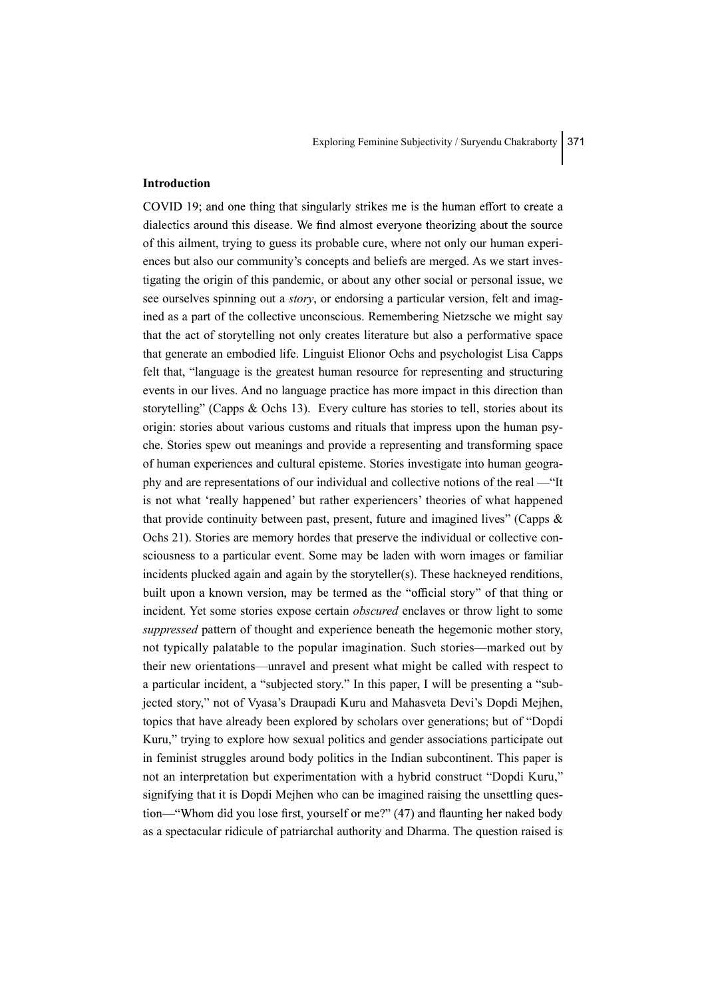#### Introduction

COVID 19; and one thing that singularly strikes me is the human effort to create a dialectics around this disease. We find almost everyone theorizing about the source of this ailment, trying to guess its probable cure, where not only our human experiences but also our community's concepts and beliefs are merged. As we start investigating the origin of this pandemic, or about any other social or personal issue, we see ourselves spinning out a *story*, or endorsing a particular version, felt and imagined as a part of the collective unconscious. Remembering Nietzsche we might say that the act of storytelling not only creates literature but also a performative space that generate an embodied life. Linguist Elionor Ochs and psychologist Lisa Capps felt that, "language is the greatest human resource for representing and structuring events in our lives. And no language practice has more impact in this direction than storytelling" (Capps  $& Ochs 13$ ). Every culture has stories to tell, stories about its origin: stories about various customs and rituals that impress upon the human psyche. Stories spew out meanings and provide a representing and transforming space of human experiences and cultural episteme. Stories investigate into human geography and are representations of our individual and collective notions of the real —"It is not what 'really happened' but rather experiencers' theories of what happened that provide continuity between past, present, future and imagined lives" (Capps  $\&$ Ochs 21). Stories are memory hordes that preserve the individual or collective consciousness to a particular event. Some may be laden with worn images or familiar incidents plucked again and again by the storyteller(s). These hackneyed renditions, built upon a known version, may be termed as the "official story" of that thing or incident. Yet some stories expose certain *obscured* enclaves or throw light to some suppressed pattern of thought and experience beneath the hegemonic mother story, not typically palatable to the popular imagination. Such stories—marked out by their new orientations—unravel and present what might be called with respect to a particular incident, a "subjected story." In this paper, I will be presenting a "subjected story," not of Vyasa's Draupadi Kuru and Mahasveta Devi's Dopdi Mejhen, topics that have already been explored by scholars over generations; but of "Dopdi Kuru," trying to explore how sexual politics and gender associations participate out in feminist struggles around body politics in the Indian subcontinent. This paper is not an interpretation but experimentation with a hybrid construct "Dopdi Kuru," signifying that it is Dopdi Mejhen who can be imagined raising the unsettling question—"Whom did you lose first, yourself or me?" (47) and flaunting her naked body as a spectacular ridicule of patriarchal authority and Dharma. The question raised is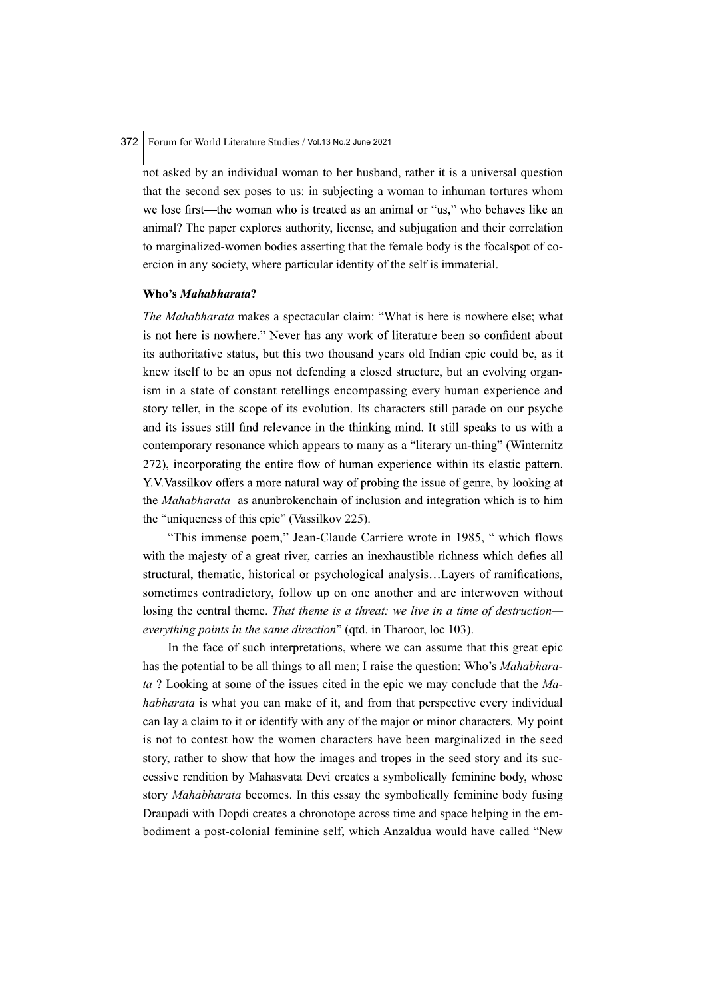not asked by an individual woman to her husband, rather it is a universal question that the second sex poses to us: in subjecting a woman to inhuman tortures whom we lose first—the woman who is treated as an animal or "us," who behaves like an animal? The paper explores authority, license, and subjugation and their correlation to marginalized-women bodies asserting that the female body is the focalspot of coercion in any society, where particular identity of the self is immaterial.

#### Who's Mahabharata?

The Mahabharata makes a spectacular claim: "What is here is nowhere else; what is not here is nowhere." Never has any work of literature been so confident about its authoritative status, but this two thousand years old Indian epic could be, as it knew itself to be an opus not defending a closed structure, but an evolving organism in a state of constant retellings encompassing every human experience and story teller, in the scope of its evolution. Its characters still parade on our psyche and its issues still find relevance in the thinking mind. It still speaks to us with a contemporary resonance which appears to many as a "literary un-thing" (Winternitz 272), incorporating the entire flow of human experience within its elastic pattern. Y.V. Vassilkov offers a more natural way of probing the issue of genre, by looking at the Mahabharata as anunbrokenchain of inclusion and integration which is to him the "uniqueness of this epic" (Vassilkov 225).

"This immense poem," Jean-Claude Carriere wrote in 1985, " which flows with the majesty of a great river, carries an inexhaustible richness which defies all structural, thematic, historical or psychological analysis...Layers of ramifications, sometimes contradictory, follow up on one another and are interwoven without losing the central theme. That theme is a threat: we live in a time of destructioneverything points in the same direction" (qtd. in Tharoor, loc 103).

In the face of such interpretations, where we can assume that this great epic has the potential to be all things to all men; I raise the question: Who's Mahabharata ? Looking at some of the issues cited in the epic we may conclude that the Mahabharata is what you can make of it, and from that perspective every individual can lay a claim to it or identify with any of the major or minor characters. My point is not to contest how the women characters have been marginalized in the seed story, rather to show that how the images and tropes in the seed story and its successive rendition by Mahasvata Devi creates a symbolically feminine body, whose story *Mahabharata* becomes. In this essay the symbolically feminine body fusing Draupadi with Dopdi creates a chronotope across time and space helping in the embodiment a post-colonial feminine self, which Anzaldua would have called "New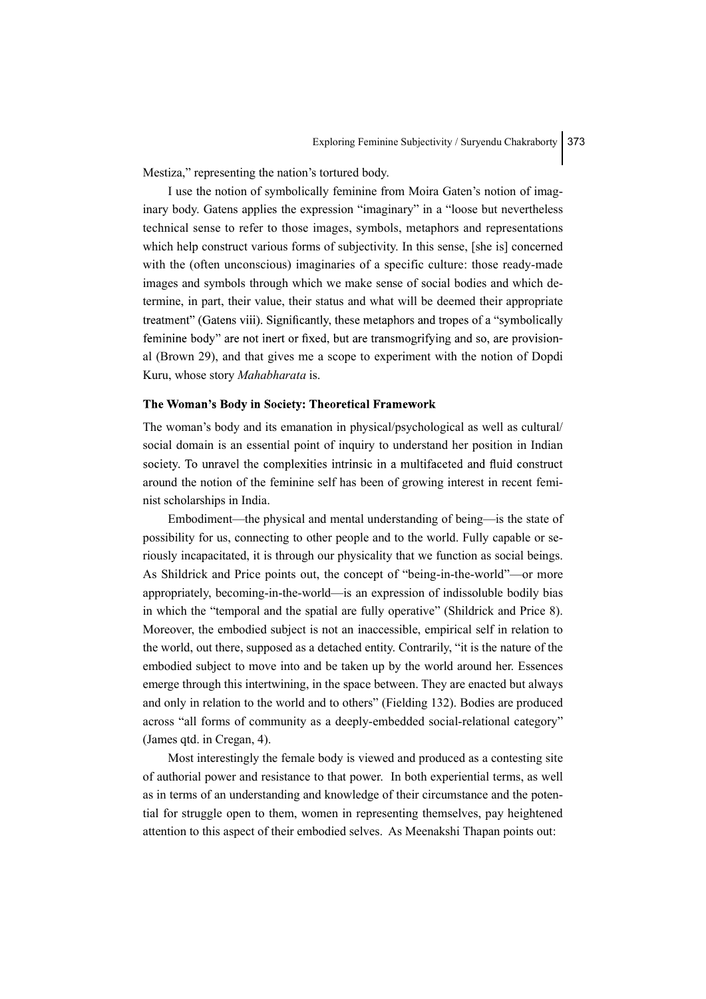Mestiza," representing the nation's tortured body.

I use the notion of symbolically feminine from Moira Gaten's notion of imaginary body. Gatens applies the expression "imaginary" in a "loose but nevertheless technical sense to refer to those images, symbols, metaphors and representations which help construct various forms of subjectivity. In this sense, [she is] concerned with the (often unconscious) imaginaries of a specific culture: those ready-made images and symbols through which we make sense of social bodies and which determine, in part, their value, their status and what will be deemed their appropriate treatment" (Gatens viii). Significantly, these metaphors and tropes of a "symbolically feminine body" are not inert or fixed, but are transmogrifying and so, are provisional (Brown 29), and that gives me a scope to experiment with the notion of Dopdi Kuru, whose story Mahabharata is.

#### The Woman's Body in Society: Theoretical Framework

The woman's body and its emanation in physical/psychological as well as cultural/ social domain is an essential point of inquiry to understand her position in Indian society. To unravel the complexities intrinsic in a multifaceted and fluid construct around the notion of the feminine self has been of growing interest in recent feminist scholarships in India.

Embodiment—the physical and mental understanding of being—is the state of possibility for us, connecting to other people and to the world. Fully capable or seriously incapacitated, it is through our physicality that we function as social beings. As Shildrick and Price points out, the concept of "being-in-the-world"—or more appropriately, becoming-in-the-world—is an expression of indissoluble bodily bias in which the "temporal and the spatial are fully operative" (Shildrick and Price 8). Moreover, the embodied subject is not an inaccessible, empirical self in relation to the world, out there, supposed as a detached entity. Contrarily, "it is the nature of the embodied subject to move into and be taken up by the world around her. Essences emerge through this intertwining, in the space between. They are enacted but always and only in relation to the world and to others" (Fielding 132). Bodies are produced across "all forms of community as a deeply-embedded social-relational category" (James qtd. in Cregan, 4).

Most interestingly the female body is viewed and produced as a contesting site of authorial power and resistance to that power. In both experiential terms, as well as in terms of an understanding and knowledge of their circumstance and the potential for struggle open to them, women in representing themselves, pay heightened attention to this aspect of their embodied selves. As Meenakshi Thapan points out: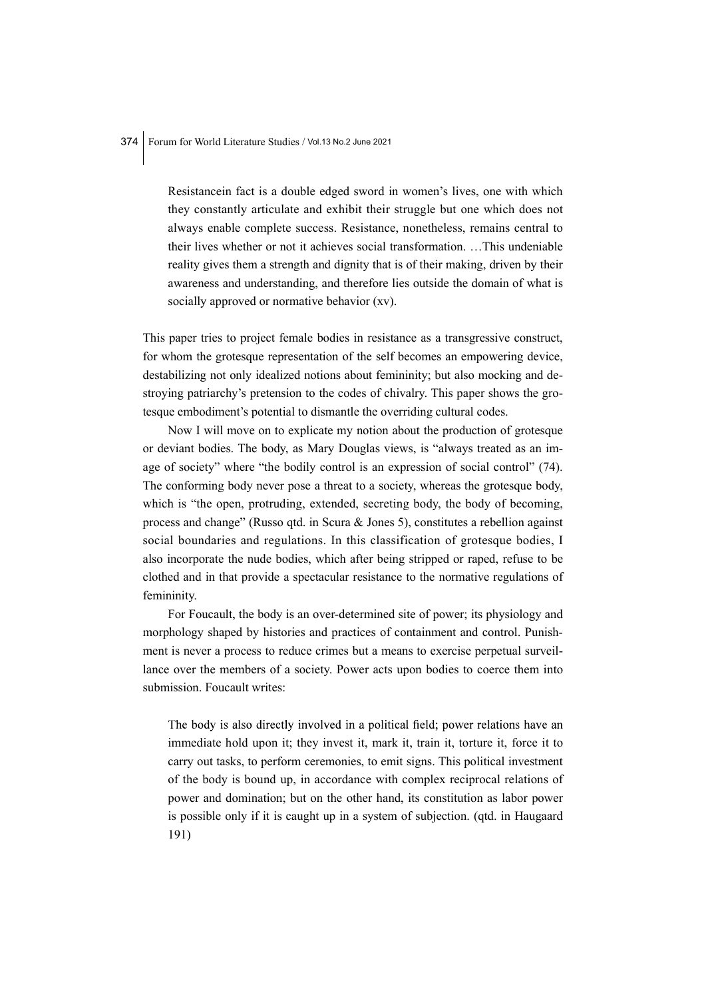Resistancein fact is a double edged sword in women's lives, one with which they constantly articulate and exhibit their struggle but one which does not always enable complete success. Resistance, nonetheless, remains central to their lives whether or not it achieves social transformation. …This undeniable reality gives them a strength and dignity that is of their making, driven by their awareness and understanding, and therefore lies outside the domain of what is socially approved or normative behavior (xv).

This paper tries to project female bodies in resistance as a transgressive construct, for whom the grotesque representation of the self becomes an empowering device, destabilizing not only idealized notions about femininity; but also mocking and destroying patriarchy's pretension to the codes of chivalry. This paper shows the grotesque embodiment's potential to dismantle the overriding cultural codes.

Now I will move on to explicate my notion about the production of grotesque or deviant bodies. The body, as Mary Douglas views, is "always treated as an image of society" where "the bodily control is an expression of social control" (74). The conforming body never pose a threat to a society, whereas the grotesque body, which is "the open, protruding, extended, secreting body, the body of becoming, process and change" (Russo qtd. in Scura & Jones 5), constitutes a rebellion against social boundaries and regulations. In this classification of grotesque bodies, I also incorporate the nude bodies, which after being stripped or raped, refuse to be clothed and in that provide a spectacular resistance to the normative regulations of femininity.

For Foucault, the body is an over-determined site of power; its physiology and morphology shaped by histories and practices of containment and control. Punishment is never a process to reduce crimes but a means to exercise perpetual surveillance over the members of a society. Power acts upon bodies to coerce them into submission. Foucault writes:

The body is also directly involved in a political field; power relations have an immediate hold upon it; they invest it, mark it, train it, torture it, force it to carry out tasks, to perform ceremonies, to emit signs. This political investment of the body is bound up, in accordance with complex reciprocal relations of power and domination; but on the other hand, its constitution as labor power is possible only if it is caught up in a system of subjection. (qtd. in Haugaard 191)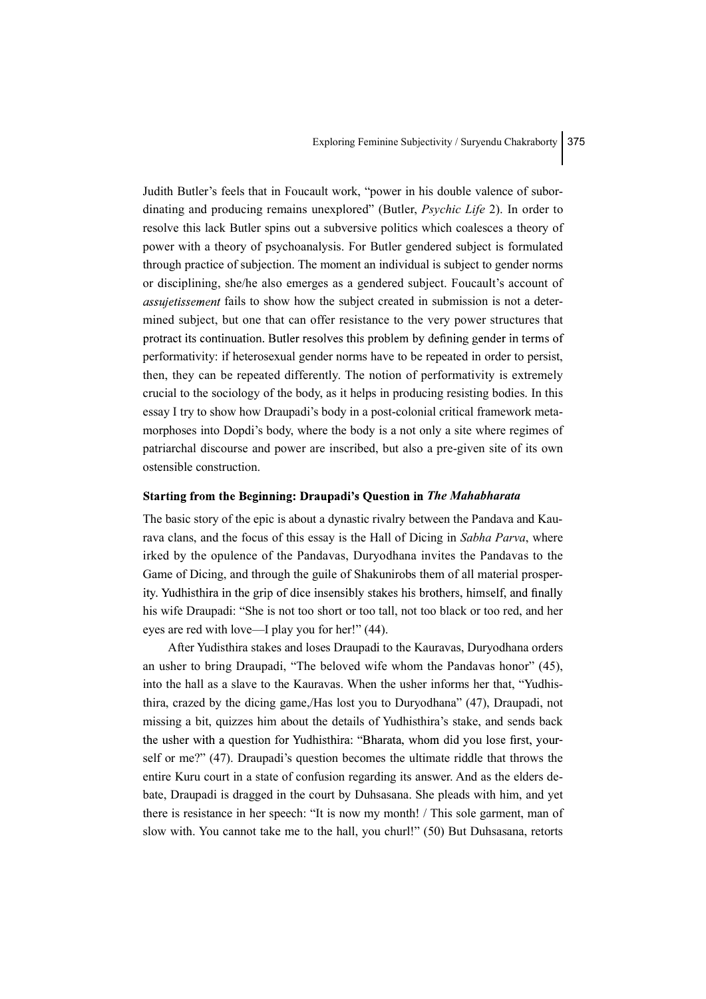Judith Butler's feels that in Foucault work, "power in his double valence of subordinating and producing remains unexplored" (Butler, *Psychic Life* 2). In order to resolve this lack Butler spins out a subversive politics which coalesces a theory of power with a theory of psychoanalysis. For Butler gendered subject is formulated through practice of subjection. The moment an individual is subject to gender norms or disciplining, she/he also emerges as a gendered subject. Foucault's account of *assujetissement* fails to show how the subject created in submission is not a determined subject, but one that can offer resistance to the very power structures that protract its continuation. Butler resolves this problem by defining gender in terms of performativity: if heterosexual gender norms have to be repeated in order to persist, then, they can be repeated differently. The notion of performativity is extremely crucial to the sociology of the body, as it helps in producing resisting bodies. In this essay I try to show how Draupadi's body in a post-colonial critical framework metamorphoses into Dopdi's body, where the body is a not only a site where regimes of patriarchal discourse and power are inscribed, but also a pre-given site of its own ostensible construction.

#### Starting from the Beginning: Draupadi's Question in The Mahabharata

The basic story of the epic is about a dynastic rivalry between the Pandava and Kaurava clans, and the focus of this essay is the Hall of Dicing in Sabha Parva, where irked by the opulence of the Pandavas, Duryodhana invites the Pandavas to the Game of Dicing, and through the guile of Shakunirobs them of all material prosperity. Yudhisthira in the grip of dice insensibly stakes his brothers, himself, and finally his wife Draupadi: "She is not too short or too tall, not too black or too red, and her eyes are red with love—I play you for her!" (44).

After Yudisthira stakes and loses Draupadi to the Kauravas, Duryodhana orders an usher to bring Draupadi, "The beloved wife whom the Pandavas honor" (45), into the hall as a slave to the Kauravas. When the usher informs her that, "Yudhisthira, crazed by the dicing game,/Has lost you to Duryodhana" (47), Draupadi, not missing a bit, quizzes him about the details of Yudhisthira's stake, and sends back the usher with a question for Yudhisthira: "Bharata, whom did you lose first, yourself or me?" (47). Draupadi's question becomes the ultimate riddle that throws the entire Kuru court in a state of confusion regarding its answer. And as the elders debate, Draupadi is dragged in the court by Duhsasana. She pleads with him, and yet there is resistance in her speech: "It is now my month! / This sole garment, man of slow with. You cannot take me to the hall, you churl!" (50) But Duhsasana, retorts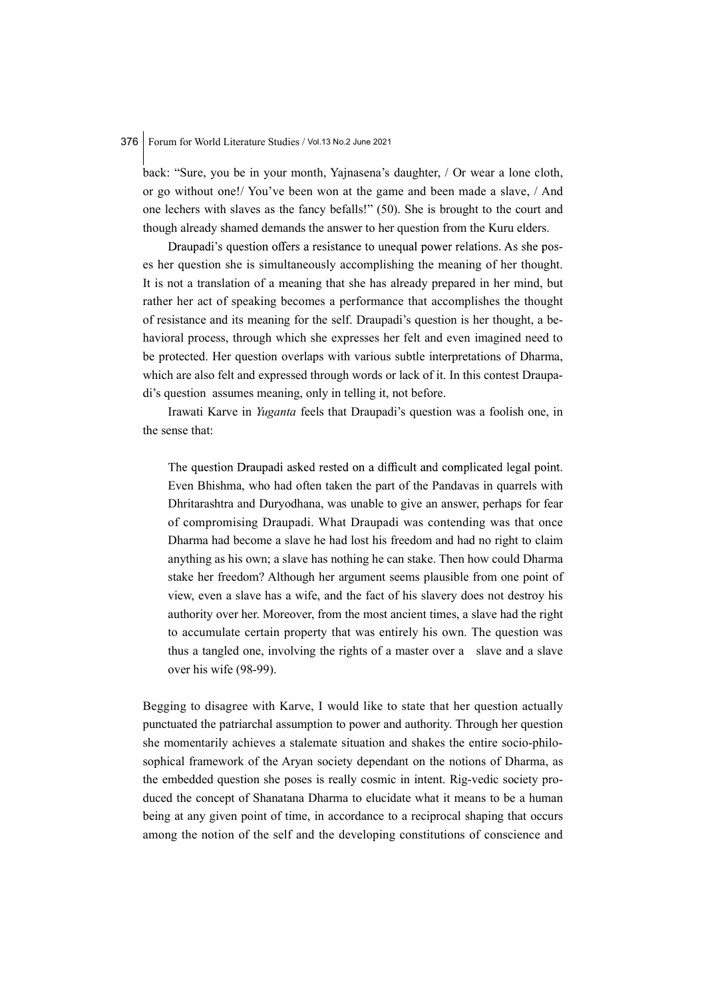back: "Sure, you be in your month, Yajnasena's daughter, / Or wear a lone cloth, or go without one!/ You've been won at the game and been made a slave, / And one lechers with slaves as the fancy befalls!" (50). She is brought to the court and though already shamed demands the answer to her question from the Kuru elders.

Draupadi's question offers a resistance to unequal power relations. As she poses her question she is simultaneously accomplishing the meaning of her thought. It is not a translation of a meaning that she has already prepared in her mind, but rather her act of speaking becomes a performance that accomplishes the thought of resistance and its meaning for the self. Draupadi's question is her thought, a behavioral process, through which she expresses her felt and even imagined need to be protected. Her question overlaps with various subtle interpretations of Dharma, which are also felt and expressed through words or lack of it. In this contest Draupadi's question assumes meaning, only in telling it, not before.

Irawati Karve in Yuganta feels that Draupadi's question was a foolish one, in the sense that:

The question Draupadi asked rested on a difficult and complicated legal point. Even Bhishma, who had often taken the part of the Pandavas in quarrels with Dhritarashtra and Duryodhana, was unable to give an answer, perhaps for fear of compromising Draupadi. What Draupadi was contending was that once Dharma had become a slave he had lost his freedom and had no right to claim anything as his own; a slave has nothing he can stake. Then how could Dharma stake her freedom? Although her argument seems plausible from one point of view, even a slave has a wife, and the fact of his slavery does not destroy his authority over her. Moreover, from the most ancient times, a slave had the right to accumulate certain property that was entirely his own. The question was thus a tangled one, involving the rights of a master over a slave and a slave over his wife (98-99).

Begging to disagree with Karve, I would like to state that her question actually punctuated the patriarchal assumption to power and authority. Through her question she momentarily achieves a stalemate situation and shakes the entire socio-philosophical framework of the Aryan society dependant on the notions of Dharma, as the embedded question she poses is really cosmic in intent. Rig-vedic society produced the concept of Shanatana Dharma to elucidate what it means to be a human being at any given point of time, in accordance to a reciprocal shaping that occurs among the notion of the self and the developing constitutions of conscience and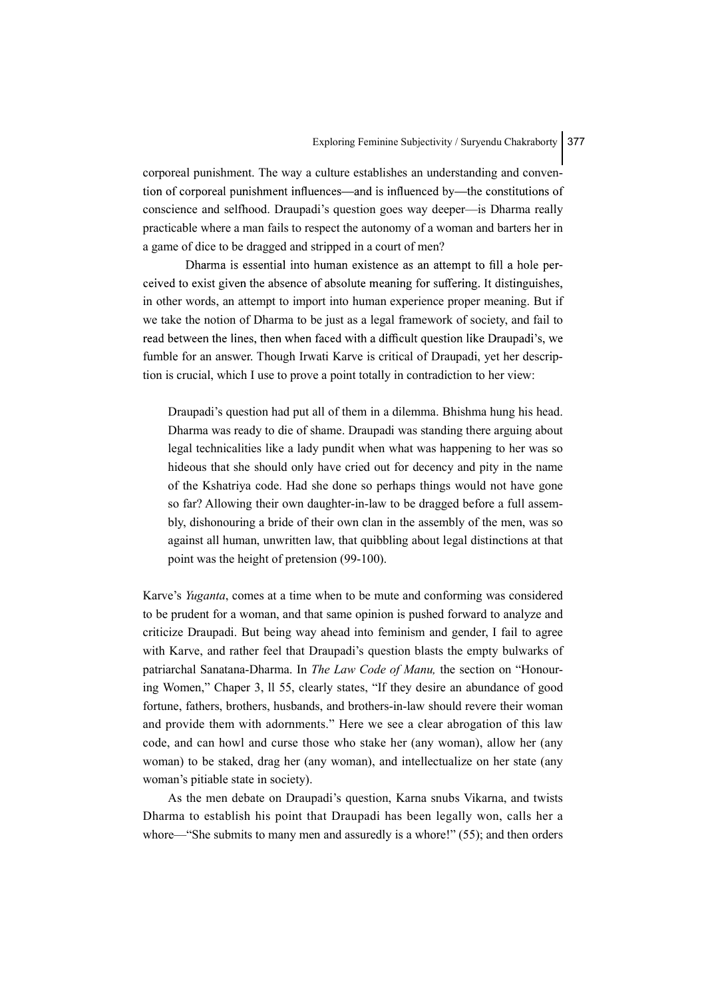corporeal punishment. The way a culture establishes an understanding and convention of corporeal punishment influences—and is influenced by—the constitutions of conscience and selfhood. Draupadi's question goes way deeper—is Dharma really practicable where a man fails to respect the autonomy of a woman and barters her in a game of dice to be dragged and stripped in a court of men?

Dharma is essential into human existence as an attempt to fill a hole perceived to exist given the absence of absolute meaning for suffering. It distinguishes, in other words, an attempt to import into human experience proper meaning. But if we take the notion of Dharma to be just as a legal framework of society, and fail to read between the lines, then when faced with a difficult question like Draupadi's, we fumble for an answer. Though Irwati Karve is critical of Draupadi, yet her description is crucial, which I use to prove a point totally in contradiction to her view:

Draupadi's question had put all of them in a dilemma. Bhishma hung his head. Dharma was ready to die of shame. Draupadi was standing there arguing about legal technicalities like a lady pundit when what was happening to her was so hideous that she should only have cried out for decency and pity in the name of the Kshatriya code. Had she done so perhaps things would not have gone so far? Allowing their own daughter-in-law to be dragged before a full assembly, dishonouring a bride of their own clan in the assembly of the men, was so against all human, unwritten law, that quibbling about legal distinctions at that point was the height of pretension (99-100).

Karve's Yuganta, comes at a time when to be mute and conforming was considered to be prudent for a woman, and that same opinion is pushed forward to analyze and criticize Draupadi. But being way ahead into feminism and gender, I fail to agree with Karve, and rather feel that Draupadi's question blasts the empty bulwarks of patriarchal Sanatana-Dharma. In The Law Code of Manu, the section on "Honouring Women," Chaper 3, ll 55, clearly states, "If they desire an abundance of good fortune, fathers, brothers, husbands, and brothers-in-law should revere their woman and provide them with adornments." Here we see a clear abrogation of this law code, and can howl and curse those who stake her (any woman), allow her (any woman) to be staked, drag her (any woman), and intellectualize on her state (any woman's pitiable state in society).

As the men debate on Draupadi's question, Karna snubs Vikarna, and twists Dharma to establish his point that Draupadi has been legally won, calls her a whore—"She submits to many men and assuredly is a whore!" (55); and then orders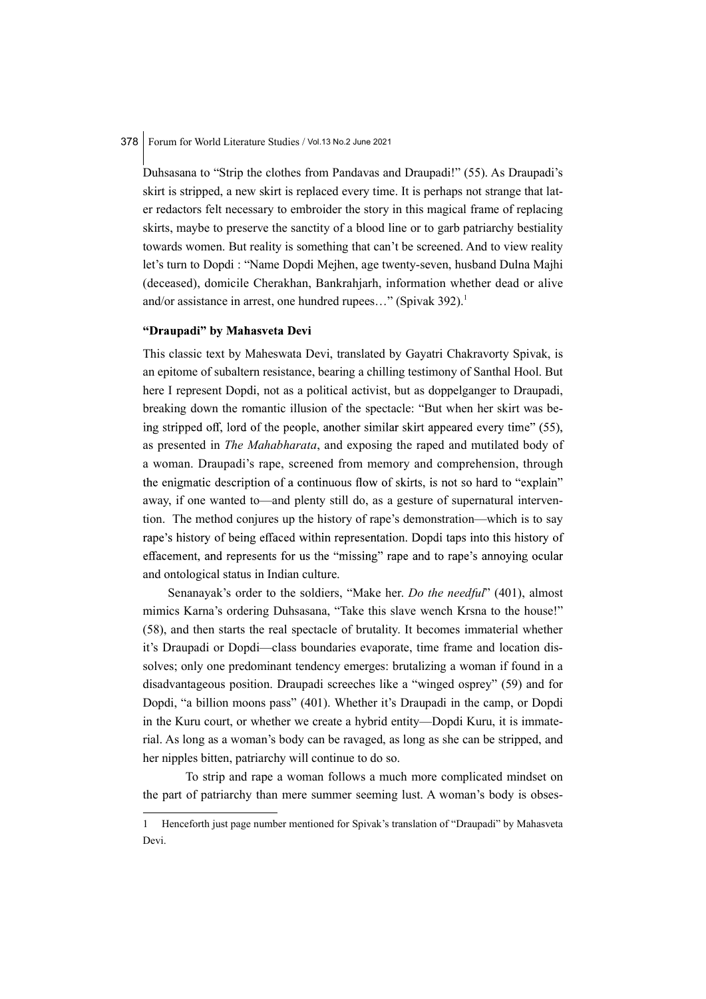Duhsasana to "Strip the clothes from Pandavas and Draupadi!" (55). As Draupadi's skirt is stripped, a new skirt is replaced every time. It is perhaps not strange that later redactors felt necessary to embroider the story in this magical frame of replacing skirts, maybe to preserve the sanctity of a blood line or to garb patriarchy bestiality towards women. But reality is something that can't be screened. And to view reality let's turn to Dopdi : "Name Dopdi Mejhen, age twenty-seven, husband Dulna Majhi (deceased), domicile Cherakhan, Bankrahjarh, information whether dead or alive and/or assistance in arrest, one hundred rupees..." (Spivak  $392$ ).<sup>1</sup>

## "Draupadi" by Mahasveta Devi

This classic text by Maheswata Devi, translated by Gayatri Chakravorty Spivak, is an epitome of subaltern resistance, bearing a chilling testimony of Santhal Hool. But here I represent Dopdi, not as a political activist, but as doppelganger to Draupadi, breaking down the romantic illusion of the spectacle: "But when her skirt was being stripped off, lord of the people, another similar skirt appeared every time" (55), as presented in The Mahabharata, and exposing the raped and mutilated body of a woman. Draupadi's rape, screened from memory and comprehension, through the enigmatic description of a continuous flow of skirts, is not so hard to "explain" away, if one wanted to—and plenty still do, as a gesture of supernatural intervention. The method conjures up the history of rape's demonstration—which is to say rape's history of being effaced within representation. Dopdi taps into this history of effacement, and represents for us the "missing" rape and to rape's annoving ocular and ontological status in Indian culture.

Senanayak's order to the soldiers, "Make her. Do the needful" (401), almost mimics Karna's ordering Duhsasana, "Take this slave wench Krsna to the house!" (58), and then starts the real spectacle of brutality. It becomes immaterial whether it's Draupadi or Dopdi—class boundaries evaporate, time frame and location dissolves; only one predominant tendency emerges: brutalizing a woman if found in a disadvantageous position. Draupadi screeches like a "winged osprey" (59) and for Dopdi, "a billion moons pass" (401). Whether it's Draupadi in the camp, or Dopdi in the Kuru court, or whether we create a hybrid entity—Dopdi Kuru, it is immaterial. As long as a woman's body can be ravaged, as long as she can be stripped, and her nipples bitten, patriarchy will continue to do so.

 To strip and rape a woman follows a much more complicated mindset on the part of patriarchy than mere summer seeming lust. A woman's body is obses-

<sup>1</sup> Henceforth just page number mentioned for Spivak's translation of "Draupadi" by Mahasveta Devi.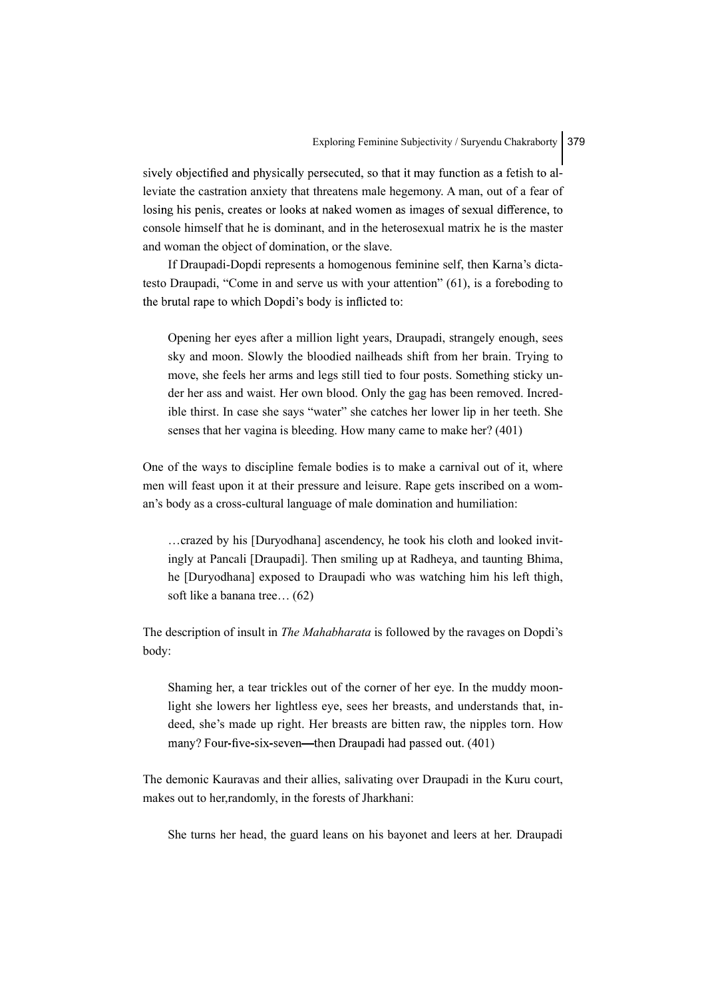sively objectified and physically persecuted, so that it may function as a fetish to alleviate the castration anxiety that threatens male hegemony. A man, out of a fear of losing his penis, creates or looks at naked women as images of sexual difference, to console himself that he is dominant, and in the heterosexual matrix he is the master and woman the object of domination, or the slave.

If Draupadi-Dopdi represents a homogenous feminine self, then Karna's dictatesto Draupadi, "Come in and serve us with your attention" (61), is a foreboding to the brutal rape to which Dopdi's body is inflicted to:

Opening her eyes after a million light years, Draupadi, strangely enough, sees sky and moon. Slowly the bloodied nailheads shift from her brain. Trying to move, she feels her arms and legs still tied to four posts. Something sticky under her ass and waist. Her own blood. Only the gag has been removed. Incredible thirst. In case she says "water" she catches her lower lip in her teeth. She senses that her vagina is bleeding. How many came to make her? (401)

One of the ways to discipline female bodies is to make a carnival out of it, where men will feast upon it at their pressure and leisure. Rape gets inscribed on a woman's body as a cross-cultural language of male domination and humiliation:

…crazed by his [Duryodhana] ascendency, he took his cloth and looked invitingly at Pancali [Draupadi]. Then smiling up at Radheya, and taunting Bhima, he [Duryodhana] exposed to Draupadi who was watching him his left thigh, soft like a banana tree… (62)

The description of insult in The Mahabharata is followed by the ravages on Dopdi's body:

Shaming her, a tear trickles out of the corner of her eye. In the muddy moonlight she lowers her lightless eye, sees her breasts, and understands that, indeed, she's made up right. Her breasts are bitten raw, the nipples torn. How many? Four-five-six-seven—then Draupadi had passed out. (401)

The demonic Kauravas and their allies, salivating over Draupadi in the Kuru court, makes out to her,randomly, in the forests of Jharkhani:

She turns her head, the guard leans on his bayonet and leers at her. Draupadi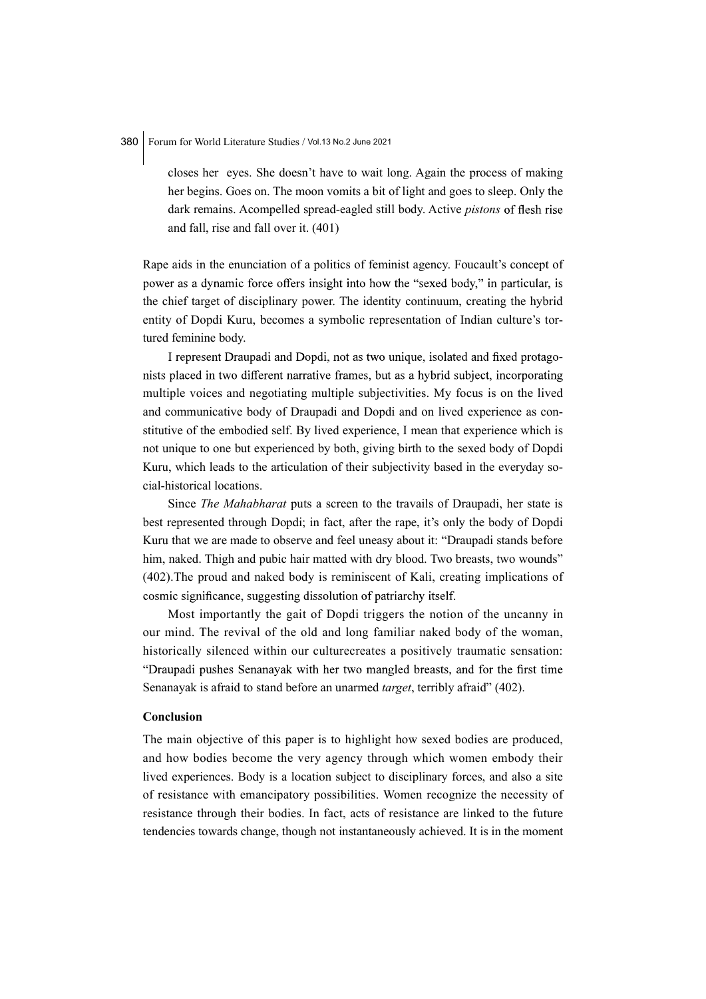closes her eyes. She doesn't have to wait long. Again the process of making her begins. Goes on. The moon vomits a bit of light and goes to sleep. Only the dark remains. Acompelled spread-eagled still body. Active *pistons* of flesh rise and fall, rise and fall over it. (401)

Rape aids in the enunciation of a politics of feminist agency. Foucault's concept of power as a dynamic force offers insight into how the "sexed body," in particular, is the chief target of disciplinary power. The identity continuum, creating the hybrid entity of Dopdi Kuru, becomes a symbolic representation of Indian culture's tortured feminine body.

I represent Draupadi and Dopdi, not as two unique, isolated and fixed protagonists placed in two different narrative frames, but as a hybrid subject, incorporating multiple voices and negotiating multiple subjectivities. My focus is on the lived and communicative body of Draupadi and Dopdi and on lived experience as constitutive of the embodied self. By lived experience, I mean that experience which is not unique to one but experienced by both, giving birth to the sexed body of Dopdi Kuru, which leads to the articulation of their subjectivity based in the everyday social-historical locations.

Since The Mahabharat puts a screen to the travails of Draupadi, her state is best represented through Dopdi; in fact, after the rape, it's only the body of Dopdi Kuru that we are made to observe and feel uneasy about it: "Draupadi stands before him, naked. Thigh and pubic hair matted with dry blood. Two breasts, two wounds" (402).The proud and naked body is reminiscent of Kali, creating implications of cosmic significance, suggesting dissolution of patriarchy itself.

Most importantly the gait of Dopdi triggers the notion of the uncanny in our mind. The revival of the old and long familiar naked body of the woman, historically silenced within our culturecreates a positively traumatic sensation: "Draupadi pushes Senanayak with her two mangled breasts, and for the first time Senanayak is afraid to stand before an unarmed target, terribly afraid" (402).

#### Conclusion

The main objective of this paper is to highlight how sexed bodies are produced, and how bodies become the very agency through which women embody their lived experiences. Body is a location subject to disciplinary forces, and also a site of resistance with emancipatory possibilities. Women recognize the necessity of resistance through their bodies. In fact, acts of resistance are linked to the future tendencies towards change, though not instantaneously achieved. It is in the moment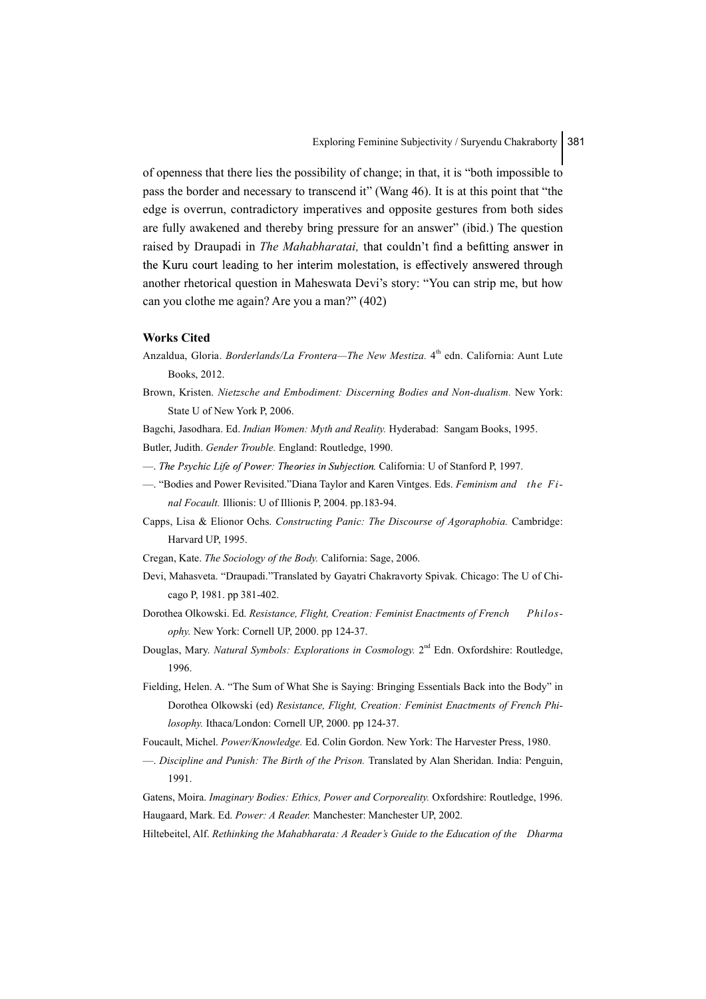of openness that there lies the possibility of change; in that, it is "both impossible to pass the border and necessary to transcend it" (Wang 46). It is at this point that "the edge is overrun, contradictory imperatives and opposite gestures from both sides are fully awakened and thereby bring pressure for an answer" (ibid.) The question raised by Draupadi in *The Mahabharatai*, that couldn't find a befitting answer in the Kuru court leading to her interim molestation, is effectively answered through another rhetorical question in Maheswata Devi's story: "You can strip me, but how can you clothe me again? Are you a man?" (402)

#### Works Cited

- Anzaldua, Gloria. *Borderlands/La Frontera—The New Mestiza*. 4<sup>th</sup> edn. California: Aunt Lute Books, 2012.
- Brown, Kristen. Nietzsche and Embodiment: Discerning Bodies and Non-dualism. New York: State U of New York P, 2006.

Bagchi, Jasodhara. Ed. Indian Women: Myth and Reality. Hyderabad: Sangam Books, 1995. Butler, Judith. Gender Trouble. England: Routledge, 1990.

- The Psychic Life of Power: Theories in Subjection. California: U of Stanford P, 1997.
- —. "Bodies and Power Revisited."Diana Taylor and Karen Vintges. Eds. Feminism and the Final Focault. Illionis: U of Illionis P, 2004. pp.183-94.
- Capps, Lisa & Elionor Ochs. Constructing Panic: The Discourse of Agoraphobia. Cambridge: Harvard UP, 1995.
- Cregan, Kate. The Sociology of the Body. California: Sage, 2006.
- Devi, Mahasveta. "Draupadi."Translated by Gayatri Chakravorty Spivak. Chicago: The U of Chicago P, 1981. pp 381-402.
- Dorothea Olkowski. Ed. Resistance, Flight, Creation: Feminist Enactments of French Philosophy. New York: Cornell UP, 2000. pp 124-37.
- Douglas, Mary. Natural Symbols: Explorations in Cosmology. 2<sup>nd</sup> Edn. Oxfordshire: Routledge, 1996.
- Fielding, Helen. A. "The Sum of What She is Saying: Bringing Essentials Back into the Body" in Dorothea Olkowski (ed) Resistance, Flight, Creation: Feminist Enactments of French Philosophy. Ithaca/London: Cornell UP, 2000. pp 124-37.
- Foucault, Michel. Power/Knowledge. Ed. Colin Gordon. New York: The Harvester Press, 1980.
- —. Discipline and Punish: The Birth of the Prison. Translated by Alan Sheridan. India: Penguin, 1991.
- Gatens, Moira. Imaginary Bodies: Ethics, Power and Corporeality. Oxfordshire: Routledge, 1996. Haugaard, Mark. Ed. Power: A Reader. Manchester: Manchester UP, 2002.
- Hiltebeitel, Alf. Rethinking the Mahabharata: A Reader's Guide to the Education of the Dharma